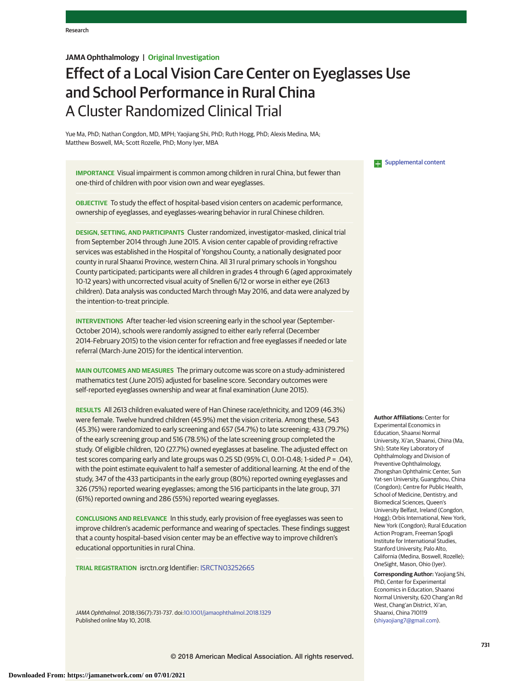**JAMA Ophthalmology | Original Investigation**

# Effect of a Local Vision Care Center on Eyeglasses Use and School Performance in Rural China A Cluster Randomized Clinical Trial

Yue Ma, PhD; Nathan Congdon, MD, MPH; Yaojiang Shi, PhD; Ruth Hogg, PhD; Alexis Medina, MA; Matthew Boswell, MA; Scott Rozelle, PhD; Mony Iyer, MBA

**IMPORTANCE** Visual impairment is common among children in rural China, but fewer than one-third of children with poor vision own and wear eyeglasses.

**OBJECTIVE** To study the effect of hospital-based vision centers on academic performance, ownership of eyeglasses, and eyeglasses-wearing behavior in rural Chinese children.

**DESIGN, SETTING, AND PARTICIPANTS** Cluster randomized, investigator-masked, clinical trial from September 2014 through June 2015. A vision center capable of providing refractive services was established in the Hospital of Yongshou County, a nationally designated poor county in rural Shaanxi Province, western China. All 31 rural primary schools in Yongshou County participated; participants were all children in grades 4 through 6 (aged approximately 10-12 years) with uncorrected visual acuity of Snellen 6/12 or worse in either eye (2613 children). Data analysis was conducted March through May 2016, and data were analyzed by the intention-to-treat principle.

**INTERVENTIONS** After teacher-led vision screening early in the school year (September-October 2014), schools were randomly assigned to either early referral (December 2014-February 2015) to the vision center for refraction and free eyeglasses if needed or late referral (March-June 2015) for the identical intervention.

**MAIN OUTCOMES AND MEASURES** The primary outcome was score on a study-administered mathematics test (June 2015) adjusted for baseline score. Secondary outcomes were self-reported eyeglasses ownership and wear at final examination (June 2015).

**RESULTS** All 2613 children evaluated were of Han Chinese race/ethnicity, and 1209 (46.3%) were female. Twelve hundred children (45.9%) met the vision criteria. Among these, 543 (45.3%) were randomized to early screening and 657 (54.7%) to late screening; 433 (79.7%) of the early screening group and 516 (78.5%) of the late screening group completed the study. Of eligible children, 120 (27.7%) owned eyeglasses at baseline. The adjusted effect on test scores comparing early and late groups was 0.25 SD (95% CI, 0.01-0.48; 1-sided P = .04), with the point estimate equivalent to half a semester of additional learning. At the end of the study, 347 of the 433 participants in the early group (80%) reported owning eyeglasses and 326 (75%) reported wearing eyeglasses; among the 516 participants in the late group, 371 (61%) reported owning and 286 (55%) reported wearing eyeglasses.

**CONCLUSIONS AND RELEVANCE** In this study, early provision of free eyeglasses was seen to improve children's academic performance and wearing of spectacles. These findings suggest that a county hospital–based vision center may be an effective way to improve children's educational opportunities in rural China.

**TRIAL REGISTRATION** isrctn.org Identifier: [ISRCTN03252665](http://www.isrctn.com/ISRCTN03252665?q=ISRCTN03252665&filters=&sort=&offset=1&totalResults=1&page=1&pageSize=10&searchType=basic-search)

JAMA Ophthalmol. 2018;136(7):731-737. doi[:10.1001/jamaophthalmol.2018.1329](https://jama.jamanetwork.com/article.aspx?doi=10.1001/jamaophthalmol.2018.1329&utm_campaign=articlePDF%26utm_medium=articlePDFlink%26utm_source=articlePDF%26utm_content=jamaophthalmol.2018.1329) Published online May 10, 2018.

**Examplemental content** 

**Author Affiliations:** Center for Experimental Economics in Education, Shaanxi Normal University, Xi'an, Shaanxi, China (Ma, Shi); State Key Laboratory of Ophthalmology and Division of Preventive Ophthalmology, Zhongshan Ophthalmic Center, Sun Yat-sen University, Guangzhou, China (Congdon); Centre for Public Health, School of Medicine, Dentistry, and Biomedical Sciences, Queen's University Belfast, Ireland (Congdon, Hogg); Orbis International, New York, New York (Congdon); Rural Education Action Program, Freeman Spogli Institute for International Studies, Stanford University, Palo Alto, California (Medina, Boswell, Rozelle); OneSight, Mason, Ohio (Iyer).

**Corresponding Author:** Yaojiang Shi, PhD, Center for Experimental Economics in Education, Shaanxi Normal University, 620 Chang'an Rd West, Chang'an District, Xi'an, Shaanxi, China 710119 [\(shiyaojiang7@gmail.com\)](mailto:shiyaojiang7@gmail.com).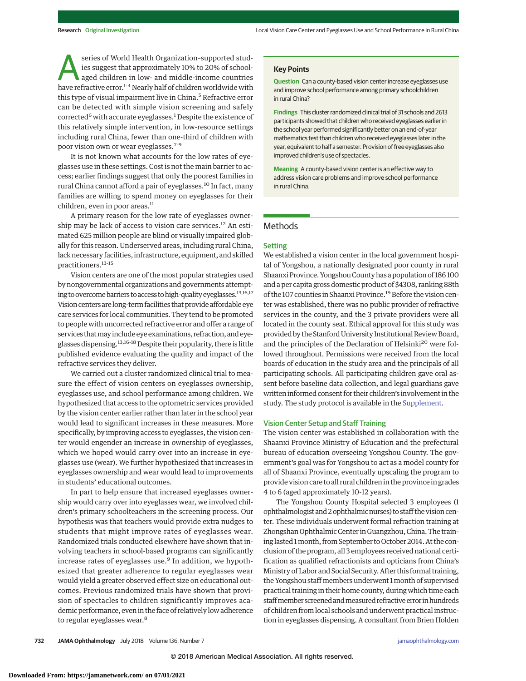series of World Health Organization-supported stud-<br>
ies suggest that approximately 10% to 20% of school-<br>
aged children in low- and middle-income countries<br>
have refractive error <sup>14</sup> Nearly half of children worldwide wit ies suggest that approximately 10% to 20% of schoolhave refractive error.<sup>1-4</sup> Nearly half of children worldwide with this type of visual impairment live in China.<sup>5</sup> Refractive error can be detected with simple vision screening and safely corrected<sup>6</sup> with accurate eyeglasses.<sup>1</sup> Despite the existence of this relatively simple intervention, in low-resource settings including rural China, fewer than one-third of children with poor vision own or wear eyeglasses.<sup>7-9</sup>

It is not known what accounts for the low rates of eyeglasses use in these settings. Cost is not the main barrier to access; earlier findings suggest that only the poorest families in rural China cannot afford a pair of eyeglasses.<sup>10</sup> In fact, many families are willing to spend money on eyeglasses for their children, even in poor areas.<sup>11</sup>

A primary reason for the low rate of eyeglasses ownership may be lack of access to vision care services.<sup>12</sup> An estimated 625 million people are blind or visually impaired globally for this reason. Underserved areas, including rural China, lack necessary facilities, infrastructure, equipment, and skilled practitioners.<sup>13-15</sup>

Vision centers are one of the most popular strategies used by nongovernmental organizations and governments attempting to overcome barriers to access to high-quality eyeglasses.<sup>13,16,17</sup> Vision centers are long-term facilities that provide affordable eye care services for local communities. They tend to be promoted to people with uncorrected refractive error and offer a range of services that may include eye examinations, refraction, and eyeglasses dispensing.<sup>13,16-18</sup> Despite their popularity, there is little published evidence evaluating the quality and impact of the refractive services they deliver.

We carried out a cluster randomized clinical trial to measure the effect of vision centers on eyeglasses ownership, eyeglasses use, and school performance among children. We hypothesized that access to the optometric services provided by the vision center earlier rather than later in the school year would lead to significant increases in these measures. More specifically, by improving access to eyeglasses, the vision center would engender an increase in ownership of eyeglasses, which we hoped would carry over into an increase in eyeglasses use (wear). We further hypothesized that increases in eyeglasses ownership and wear would lead to improvements in students' educational outcomes.

In part to help ensure that increased eyeglasses ownership would carry over into eyeglasses wear, we involved children's primary schoolteachers in the screening process. Our hypothesis was that teachers would provide extra nudges to students that might improve rates of eyeglasses wear. Randomized trials conducted elsewhere have shown that involving teachers in school-based programs can significantly increase rates of eyeglasses use.<sup>9</sup> In addition, we hypothesized that greater adherence to regular eyeglasses wear would yield a greater observed effect size on educational outcomes. Previous randomized trials have shown that provision of spectacles to children significantly improves academic performance, even in the face of relatively low adherence to regular eyeglasses wear.<sup>8</sup>

### **Key Points**

**Question** Can a county-based vision center increase eyeglasses use and improve school performance among primary schoolchildren in rural China?

**Findings** This cluster randomized clinical trial of 31 schools and 2613 participants showed that children who received eyeglasses earlier in the school year performed significantly better on an end-of-year mathematics test than children who received eyeglasses later in the year, equivalent to half a semester. Provision of free eyeglasses also improved children's use of spectacles.

**Meaning** A county-based vision center is an effective way to address vision care problems and improve school performance in rural China.

### **Methods**

### **Setting**

We established a vision center in the local government hospital of Yongshou, a nationally designated poor county in rural Shaanxi Province. Yongshou County has a population of 186 100 and a per capita gross domestic product of \$4308, ranking 88th of the 107 counties in Shaanxi Province.<sup>19</sup> Before the vision center was established, there was no public provider of refractive services in the county, and the 3 private providers were all located in the county seat. Ethical approval for this study was provided by the Stanford University Institutional Review Board, and the principles of the Declaration of Helsinki<sup>20</sup> were followed throughout. Permissions were received from the local boards of education in the study area and the principals of all participating schools. All participating children gave oral assent before baseline data collection, and legal guardians gave written informed consent for their children's involvement in the study. The study protocol is available in the [Supplement.](https://jama.jamanetwork.com/article.aspx?doi=10.1001/jamaophthalmol.2018.1329&utm_campaign=articlePDF%26utm_medium=articlePDFlink%26utm_source=articlePDF%26utm_content=jamaophthalmol.2018.1329)

### Vision Center Setup and Staff Training

The vision center was established in collaboration with the Shaanxi Province Ministry of Education and the prefectural bureau of education overseeing Yongshou County. The government's goal was for Yongshou to act as a model county for all of Shaanxi Province, eventually upscaling the program to provide vision care to all rural children in the province in grades 4 to 6 (aged approximately 10-12 years).

The Yongshou County Hospital selected 3 employees (1 ophthalmologist and 2 ophthalmicnurses) to staff the visioncenter. These individuals underwent formal refraction training at Zhongshan Ophthalmic Center in Guangzhou, China. The training lasted 1month, from September to October 2014. At the conclusion of the program, all 3 employees received national certification as qualified refractionists and opticians from China's Ministry of Labor and Social Security. After this formal training, the Yongshou staff members underwent 1 month of supervised practical training in their home county, during which time each staff member screened and measured refractive error in hundreds of children from local schools and underwent practical instruction in eyeglasses dispensing. A consultant from Brien Holden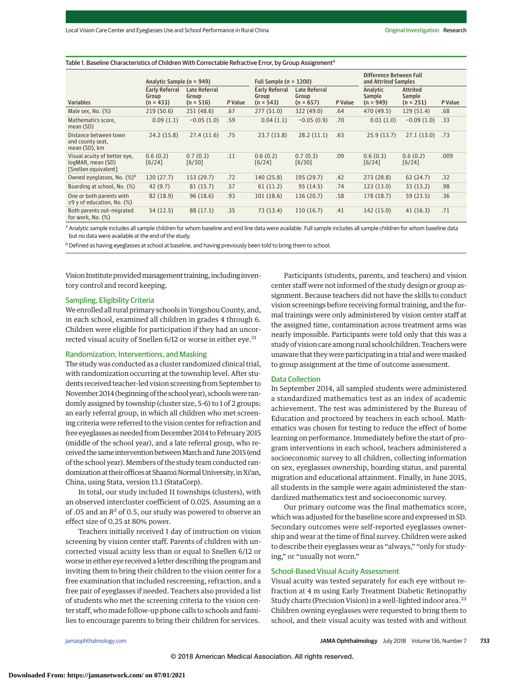### Table 1. Baseline Characteristics of Children With Correctable Refractive Error, by Group Assignment<sup>a</sup>

|                                                                           | Analytic Sample (n = 949)                     |                                       |         | Full Sample ( $n = 1200$ )                    |                                       |         | Difference Between Full<br>and Attrited Samples |                                   |         |
|---------------------------------------------------------------------------|-----------------------------------------------|---------------------------------------|---------|-----------------------------------------------|---------------------------------------|---------|-------------------------------------------------|-----------------------------------|---------|
| <b>Variables</b>                                                          | <b>Early Referral</b><br>Group<br>$(n = 433)$ | Late Referral<br>Group<br>$(n = 516)$ | P Value | <b>Early Referral</b><br>Group<br>$(n = 543)$ | Late Referral<br>Group<br>$(n = 657)$ | P Value | Analytic<br>Sample<br>$(n = 949)$               | Attrited<br>Sample<br>$(n = 251)$ | P Value |
| Male sex, No. (%)                                                         | 219(50.6)                                     | 251 (48.6)                            | .67     | 277(51.0)                                     | 322 (49.0)                            | .64     | 470 (49.5)                                      | 129(51.4)                         | .68     |
| Mathematics score,<br>mean (SD)                                           | 0.09(1.1)                                     | $-0.05(1.0)$                          | .59     | 0.04(1.1)                                     | $-0.05(0.9)$                          | .70     | 0.01(1.0)                                       | $-0.09(1.0)$                      | .33     |
| Distance between town<br>and county seat,<br>mean (SD), km                | 24.2 (15.8)                                   | 27.4(11.6)                            | .75     | 23.7(15.8)                                    | 28.2(11.1)                            | .63     | 25.9(13.7)                                      | 27.1(13.0)                        | .73     |
| Visual acuity of better eye,<br>logMAR, mean (SD)<br>[Snellen equivalent] | 0.6(0.2)<br>[6/24]                            | 0.7(0.3)<br>[6/30]                    | .11     | 0.6(0.2)<br>[6/24]                            | 0.7(0.3)<br>[6/30]                    | .09     | 0.6(0.3)<br>$[6/24]$                            | 0.6(0.2)<br>[6/24]                | .009    |
| Owned eyeglasses, No. (%) <sup>b</sup>                                    | 120(27.7)                                     | 153 (29.7)                            | .72     | 140 (25.8)                                    | 195 (29.7)                            | .42     | 273 (28.8)                                      | 62(24.7)                          | .32     |
| Boarding at school, No. (%)                                               | 42(9.7)                                       | 81(15.7)                              | .57     | 61(11.2)                                      | 95(14.5)                              | .74     | 123(13.0)                                       | 33(13.2)                          | .98     |
| One or both parents with<br>$\geq$ 9 y of education, No. (%)              | 82 (18.9)                                     | 96(18.6)                              | .93     | 101(18.6)                                     | 136 (20.7)                            | .58     | 178 (18.7)                                      | 59(23.5)                          | .36     |
| Both parents out-migrated<br>for work, No. $(\%)$                         | 54 (12.5)                                     | 88 (17.1)                             | .35     | 73 (13.4)                                     | 110(16.7)                             | .41     | 142 (15.0)                                      | 41(16.3)                          | .71     |

a Analytic sample includes all sample children for whom baseline and end line data were available. Full sample includes all sample children for whom baseline data but no data were available at the end of the study.

**b** Defined as having eyeglasses at school at baseline, and having previously been told to bring them to school.

Vision Institute provided management training, including inventory control and record keeping.

### Sampling, Eligibility Criteria

We enrolled all rural primary schools in Yongshou County, and, in each school, examined all children in grades 4 through 6. Children were eligible for participation if they had an uncorrected visual acuity of Snellen 6/12 or worse in either eye.<sup>21</sup>

### Randomization, Interventions, and Masking

The study was conducted as a cluster randomized clinical trial, with randomization occurring at the township level. After students received teacher-led vision screening from September to November 2014 (beginning of the school year), schoolswere randomly assigned by township (cluster size, 5-6) to 1 of 2 groups: an early referral group, in which all children who met screening criteria were referred to the vision center for refraction and free eyeglasses as needed from December 2014 to February 2015 (middle of the school year), and a late referral group, who received the same intervention between March and June 2015 (end of the school year). Members of the study team conducted randomization at their offices at Shaanxi Normal University, in Xi'an, China, using Stata, version 13.1 (StataCorp).

In total, our study included 11 townships (clusters), with an observed intercluster coefficient of 0.025. Assuming an α of .05 and an *R2* of 0.5, our study was powered to observe an effect size of 0.25 at 80% power.

Teachers initially received 1 day of instruction on vision screening by vision center staff. Parents of children with uncorrected visual acuity less than or equal to Snellen 6/12 or worse in either eye received a letter describing the program and inviting them to bring their children to the vision center for a free examination that included rescreening, refraction, and a free pair of eyeglasses if needed. Teachers also provided a list of students who met the screening criteria to the vision center staff, who made follow-up phone calls to schools and families to encourage parents to bring their children for services.

Participants (students, parents, and teachers) and vision center staff were not informed of the study design or group assignment. Because teachers did not have the skills to conduct vision screenings before receiving formal training, and the formal trainings were only administered by vision center staff at the assigned time, contamination across treatment arms was nearly impossible. Participants were told only that this was a study of vision care among rural schoolchildren. Teachers were unaware that they were participating in a trial and weremasked to group assignment at the time of outcome assessment.

### Data Collection

In September 2014, all sampled students were administered a standardized mathematics test as an index of academic achievement. The test was administered by the Bureau of Education and proctored by teachers in each school. Mathematics was chosen for testing to reduce the effect of home learning on performance. Immediately before the start of program interventions in each school, teachers administered a socioeconomic survey to all children, collecting information on sex, eyeglasses ownership, boarding status, and parental migration and educational attainment. Finally, in June 2015, all students in the sample were again administered the standardized mathematics test and socioeconomic survey.

Our primary outcome was the final mathematics score, which was adjusted for the baseline score and expressed in SD. Secondary outcomes were self-reported eyeglasses ownership and wear at the time of final survey. Children were asked to describe their eyeglasses wear as "always," "only for studying," or "usually not worn."

### School-Based Visual Acuity Assessment

Visual acuity was tested separately for each eye without refraction at 4 m using Early Treatment Diabetic Retinopathy Study charts (Precision Vision) in a well-lighted indoor area.<sup>22</sup> Children owning eyeglasses were requested to bring them to school, and their visual acuity was tested with and without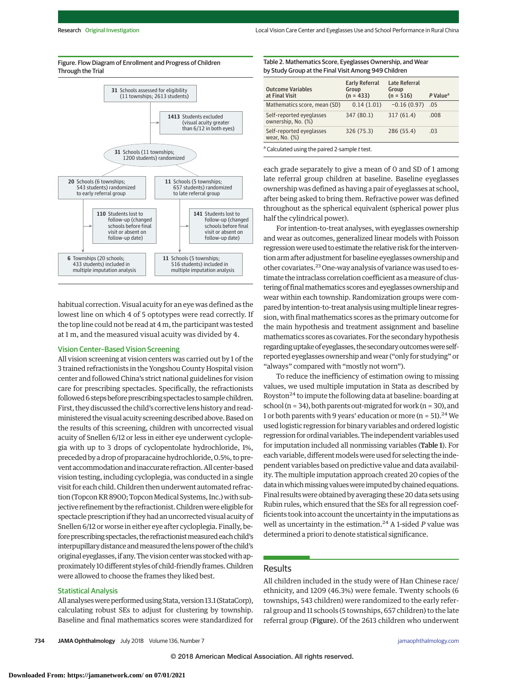



habitual correction. Visual acuity for an eye was defined as the lowest line on which 4 of 5 optotypes were read correctly. If the top line could not be read at 4m, the participant was tested at 1 m, and the measured visual acuity was divided by 4.

## Vision Center–Based Vision Screening

All vision screening at vision centers was carried out by 1 of the 3 trained refractionists in the Yongshou County Hospital vision center and followed China's strict national guidelines for vision care for prescribing spectacles. Specifically, the refractionists followed 6 steps before prescribing spectacles to sample children. First, they discussed the child's corrective lens history and readministered the visual acuity screening described above. Based on the results of this screening, children with uncorrected visual acuity of Snellen 6/12 or less in either eye underwent cycloplegia with up to 3 drops of cyclopentolate hydrochloride, 1%, preceded by a drop of proparacaine hydrochloride, 0.5%, to prevent accommodation and inaccurate refraction. All center-based vision testing, including cycloplegia, was conducted in a single visit for each child. Children then underwent automated refraction (Topcon KR 8900; Topcon Medical Systems, Inc.) with subjective refinement by the refractionist. Children were eligible for spectacle prescription if they had an uncorrected visual acuity of Snellen 6/12 or worse in either eye after cycloplegia. Finally, before prescribing spectacles, the refractionist measured each child's interpupillary distance and measured the lens power of the child's original eyeglasses, if any. The vision center was stocked with approximately 10 different styles of child-friendly frames.Children were allowed to choose the frames they liked best.

# Statistical Analysis

All analyses were performed using Stata, version 13.1 (StataCorp), calculating robust SEs to adjust for clustering by township. Baseline and final mathematics scores were standardized for

| Table 2. Mathematics Score, Eyeglasses Ownership, and Wear |
|------------------------------------------------------------|
| by Study Group at the Final Visit Among 949 Children       |

| <b>Outcome Variables</b><br>at Final Visit     | <b>Early Referral</b><br>Group<br>$(n = 433)$ | Late Referral<br>Group<br>$(n = 516)$ | P Value <sup>a</sup> |
|------------------------------------------------|-----------------------------------------------|---------------------------------------|----------------------|
| Mathematics score, mean (SD)                   | 0.14(1.01)                                    | $-0.16(0.97)$                         | .05                  |
| Self-reported eyeglasses<br>ownership, No. (%) | 347 (80.1)                                    | 317(61.4)                             | .008                 |
| Self-reported eyeglasses<br>wear, No. (%)      | 326 (75.3)                                    | 286 (55.4)                            | .03                  |
|                                                |                                               |                                       |                      |

<sup>a</sup> Calculated using the paired 2-sample t test.

each grade separately to give a mean of 0 and SD of 1 among late referral group children at baseline. Baseline eyeglasses ownership was defined as having a pair of eyeglasses at school, after being asked to bring them. Refractive power was defined throughout as the spherical equivalent (spherical power plus half the cylindrical power).

For intention-to-treat analyses, with eyeglasses ownership and wear as outcomes, generalized linear models with Poisson regression were used to estimate the relative risk for the intervention arm after adjustment for baseline eyeglasses ownership and other covariates.23One-way analysis of variance was used to estimate the intraclass correlation coefficient as ameasure of clustering of final mathematics scores and eyeglasses ownership and wear within each township. Randomization groups were compared by intention-to-treat analysis usingmultiple linear regression, with final mathematics scores as the primary outcome for the main hypothesis and treatment assignment and baseline mathematics scores as covariates. For the secondary hypothesis regarding uptake of eyeglasses, the secondary outcomes were selfreported eyeglasses ownership andwear ("only for studying" or "always" compared with "mostly not worn").

To reduce the inefficiency of estimation owing to missing values, we used multiple imputation in Stata as described by Royston<sup>24</sup> to impute the following data at baseline: boarding at school ( $n = 34$ ), both parents out-migrated for work ( $n = 30$ ), and 1 or both parents with 9 years' education or more ( $n = 51$ ).<sup>24</sup> We used logistic regression for binary variables and ordered logistic regression for ordinal variables. The independent variables used for imputation included all nonmissing variables (Table 1). For each variable, different models were used for selecting the independent variables based on predictive value and data availability. The multiple imputation approach created 20 copies of the data in which missing values were imputed by chained equations. Final resultswere obtained by averaging these 20 data sets using Rubin rules, which ensured that the SEs for all regression coefficients took into account the uncertainty in the imputations as well as uncertainty in the estimation.<sup>24</sup> A 1-sided *P* value was determined a priori to denote statistical significance.

# Results

All children included in the study were of Han Chinese race/ ethnicity, and 1209 (46.3%) were female. Twenty schools (6 townships, 543 children) were randomized to the early referral group and 11 schools (5 townships, 657 children) to the late referral group (Figure). Of the 2613 children who underwent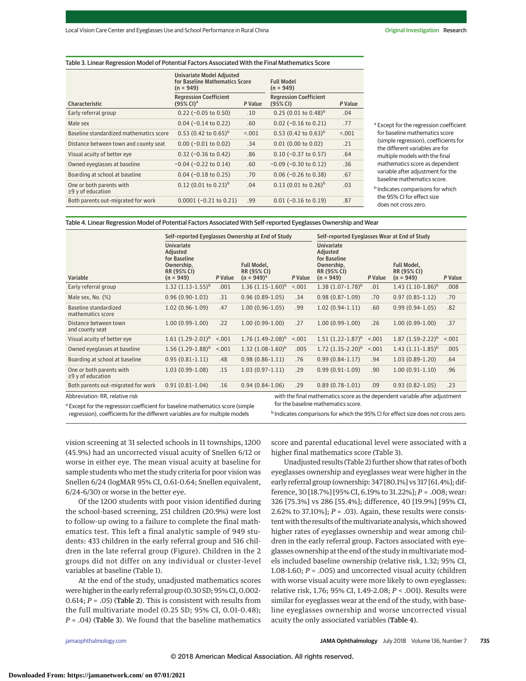### Table 3. Linear Regression Model of Potential Factors Associated With the Final Mathematics Score

|                                                     | Univariate Model Adjusted<br>for Baseline Mathematics Score<br>$(n = 949)$ |         | <b>Full Model</b><br>$(n = 949)$            |         |  |
|-----------------------------------------------------|----------------------------------------------------------------------------|---------|---------------------------------------------|---------|--|
| Characteristic                                      | <b>Regression Coefficient</b><br>$(95\%$ CI) <sup>a</sup>                  | P Value | <b>Regression Coefficient</b><br>$(95%$ CI) | P Value |  |
| Early referral group                                | $0.22$ (-0.05 to 0.50)                                                     | .10     | $0.25$ (0.01 to 0.48) <sup>b</sup>          | .04     |  |
| Male sex                                            | $0.04$ (-0.14 to 0.22)                                                     | .60     | $0.02$ (-0.16 to 0.21)                      | .77     |  |
| Baseline standardized mathematics score             | $0.53$ (0.42 to $0.65$ ) <sup>b</sup>                                      | < 0.01  | $0.53$ (0.42 to 0.63) <sup>b</sup>          | < 0.01  |  |
| Distance between town and county seat               | $0.00$ (-0.01 to 0.02)                                                     | .34     | $0.01$ (0.00 to 0.02)                       | .21     |  |
| Visual acuity of better eye                         | $0.32$ (-0.36 to 0.42)                                                     | .86     | $0.10$ (-0.37 to 0.57)                      | .64     |  |
| Owned eyeglasses at baseline                        | $-0.04$ ( $-0.22$ to 0.14)                                                 | .60     | $-0.09$ ( $-0.30$ to $0.12$ )               | .36     |  |
| Boarding at school at baseline                      | $0.04$ (-0.18 to 0.25)                                                     | .70     | $0.06$ (-0.26 to 0.38)                      | .67     |  |
| One or both parents with<br>$\geq$ 9 y of education | $0.12$ (0.01 to 0.23) <sup>b</sup>                                         | .04     | $0.13$ (0.01 to 0.26) <sup>b</sup>          | .03     |  |
| Both parents out-migrated for work                  | $0.0001 (-0.21 to 0.21)$                                                   | .99     | $0.01$ (-0.16 to 0.19)                      | .87     |  |

<sup>a</sup> Except for the regression coefficient for baseline mathematics score (simple regression), coefficients for the different variables are for multiple models with the final mathematics score as dependent variable after adjustment for the baseline mathematics score.

**b** Indicates comparisons for which the 95% CI for effect size does not cross zero.

Table 4. Linear Regression Model of Potential Factors Associated With Self-reported Eyeglasses Ownership and Wear

|                                                                                                               | Self-reported Eyeglasses Ownership at End of Study                                 |         |                                               |         | Self-reported Eyeglasses Wear at End of Study                                             |         |                                                  |         |  |
|---------------------------------------------------------------------------------------------------------------|------------------------------------------------------------------------------------|---------|-----------------------------------------------|---------|-------------------------------------------------------------------------------------------|---------|--------------------------------------------------|---------|--|
| Variable                                                                                                      | Univariate<br>Adjusted<br>for Baseline<br>Ownership,<br>RR (95% CI)<br>$(n = 949)$ | P Value | Full Model,<br>RR (95% CI)<br>$(n = 949)^{a}$ | P Value | <b>Univariate</b><br>Adjusted<br>for Baseline<br>Ownership,<br>RR (95% CI)<br>$(n = 949)$ | P Value | Full Model,<br><b>RR (95% CI)</b><br>$(n = 949)$ | P Value |  |
| Early referral group                                                                                          | $1.32(1.13-1.55)^{b}$                                                              | .001    | $1.36(1.15-1.60)^b$                           | < .001  | $1.38(1.07-1.78)^{b}$                                                                     | .01     | 1.43 $(1.10-1.86)^b$                             | .008    |  |
| Male sex, No. $(\%)$                                                                                          | $0.96(0.90-1.03)$                                                                  | .31     | $0.96(0.89-1.05)$                             | .34     | $0.98(0.87 - 1.09)$                                                                       | .70     | $0.97(0.85 - 1.12)$                              | .70     |  |
| Baseline standardized<br>mathematics score                                                                    | $1.02(0.96-1.09)$                                                                  | .47     | $1.00(0.96-1.05)$                             | .99     | $1.02(0.94-1.11)$                                                                         | .60     | $0.99(0.94-1.05)$                                | .82     |  |
| Distance between town<br>and county seat                                                                      | $1.00(0.99-1.00)$                                                                  | .22     | $1.00(0.99-1.00)$                             | .27     | $1.00(0.99-1.00)$                                                                         | .26     | $1.00(0.99-1.00)$                                | .37     |  |
| Visual acuity of better eye                                                                                   | $1.61 (1.29 - 2.01)^b$                                                             | < .001  | $1.76$ $(1.49-2.08)^{b}$                      | < .001  | $1.51 (1.22 - 1.87)^b$                                                                    | < .001  | $1.87 (1.59 - 2.22)^{b}$                         | < 0.001 |  |
| Owned eyeglasses at baseline                                                                                  | $1.56$ (1.29-1.88) <sup>b</sup>                                                    | < .001  | $1.32(1.08-1.60)^b$                           | .005    | $1.72$ $(1.35-2.20)^b$                                                                    | < .001  | $1.43(1.11-1.85)^{b}$                            | .005    |  |
| Boarding at school at baseline                                                                                | $0.95(0.81-1.11)$                                                                  | .48     | $0.98(0.86 - 1.11)$                           | .76     | $0.99(0.84-1.17)$                                                                         | .94     | $1.03(0.89-1.20)$                                | .64     |  |
| One or both parents with<br>$\geq$ 9 y of education                                                           | $1.03(0.99-1.08)$                                                                  | .15     | $1.03(0.97-1.11)$                             | .29     | $0.99(0.91-1.09)$                                                                         | .90     | $1.00(0.91-1.10)$                                | .96     |  |
| Both parents out-migrated for work                                                                            | $0.91(0.81-1.04)$                                                                  | .16     | $0.94(0.84-1.06)$                             | .29     | $0.89(0.78-1.01)$                                                                         | .09     | $0.93(0.82 - 1.05)$                              | .23     |  |
| Abbroviation, DD rolative rick<br>with the final mathematics score as the dependent variable after adjustment |                                                                                    |         |                                               |         |                                                                                           |         |                                                  |         |  |

reviation: RR, relative risk

6/24-6/30) or worse in the better eye.

variables at baseline (Table 1).

<sup>a</sup> Except for the regression coefficient for baseline mathematics score (simple

vision screening at 31 selected schools in 11 townships, 1200 (45.9%) had an uncorrected visual acuity of Snellen 6/12 or worse in either eye. The mean visual acuity at baseline for sample students whomet the study criteria for poor vision was Snellen 6/24 (logMAR 95% CI, 0.61-0.64; Snellen equivalent,

dependent variable after adjustment for the baseline mathematics score. <sup>b</sup> Indicates comparisons for which the 95% CI for effect size does not cross zero.

regression), coefficients for the different variables are for multiple models

Of the 1200 students with poor vision identified during the school-based screening, 251 children (20.9%) were lost to follow-up owing to a failure to complete the final mathematics test. This left a final analytic sample of 949 students: 433 children in the early referral group and 516 children in the late referral group (Figure). Children in the 2 groups did not differ on any individual or cluster-level

At the end of the study, unadjusted mathematics scores were higher in the early referral group (0.30 SD; 95% CI, 0.002- 0.614; *P* = .05) (Table 2). This is consistent with results from the full multivariate model (0.25 SD; 95% CI, 0.01-0.48); *P* = .04) (Table 3). We found that the baseline mathematics

score and parental educational level were associated with a higher final mathematics score (Table 3).

Unadjusted results (Table 2) further show that rates of both eyeglasses ownership and eyeglasses wear were higher in the early referral group (ownership: 347 [80.1%] vs 317 [61.4%]; difference, 30 [18.7%] [95% CI, 6.19% to 31.22%]; *P* = .008; wear: 326 [75.3%] vs 286 [55.4%]; difference, 40 [19.9%] [95% CI, 2.62% to 37.10%]; *P* = .03). Again, these results were consistent with the results of themultivariate analysis, which showed higher rates of eyeglasses ownership and wear among children in the early referral group. Factors associated with eyeglasses ownership at the end of the study in multivariate models included baseline ownership (relative risk, 1.32; 95% CI, 1.08-1.60; *P* = .005) and uncorrected visual acuity (children with worse visual acuity were more likely to own eyeglasses: relative risk, 1.76; 95% CI, 1.49-2.08; *P* < .001). Results were similar for eyeglasses wear at the end of the study, with baseline eyeglasses ownership and worse uncorrected visual acuity the only associated variables (Table 4).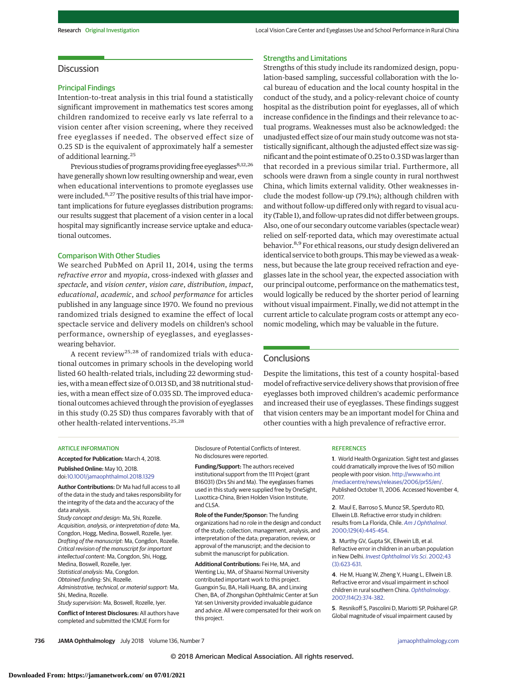# **Discussion**

# Principal Findings

Intention-to-treat analysis in this trial found a statistically significant improvement in mathematics test scores among children randomized to receive early vs late referral to a vision center after vision screening, where they received free eyeglasses if needed. The observed effect size of 0.25 SD is the equivalent of approximately half a semester of additional learning.25

Previous studies of programs providing free eyeglasses<sup>8,12,26</sup> have generally shown low resulting ownership and wear, even when educational interventions to promote eyeglasses use were included.<sup>8,27</sup> The positive results of this trial have important implications for future eyeglasses distribution programs: our results suggest that placement of a vision center in a local hospital may significantly increase service uptake and educational outcomes.

### Comparison With Other Studies

We searched PubMed on April 11, 2014, using the terms *refractive error* and *myopia*, cross-indexed with *glasses* and *spectacle*, and *vision center*, *vision care*, *distribution*, *impact*, *educational*, *academic*, and *school performance* for articles published in any language since 1970. We found no previous randomized trials designed to examine the effect of local spectacle service and delivery models on children's school performance, ownership of eyeglasses, and eyeglasseswearing behavior.

A recent review25,28 of randomized trials with educational outcomes in primary schools in the developing world listed 60 health-related trials, including 22 deworming studies, with a mean effect size of 0.013 SD, and 38 nutritional studies, with a mean effect size of 0.035 SD. The improved educational outcomes achieved through the provision of eyeglasses in this study (0.25 SD) thus compares favorably with that of other health-related interventions.<sup>25,28</sup>

### Strengths and Limitations

Strengths of this study include its randomized design, population-based sampling, successful collaboration with the local bureau of education and the local county hospital in the conduct of the study, and a policy-relevant choice of county hospital as the distribution point for eyeglasses, all of which increase confidence in the findings and their relevance to actual programs. Weaknesses must also be acknowledged: the unadjusted effect size of our main study outcome was not statistically significant, although the adjusted effect size was significant and the point estimate of 0.25 to 0.3 SD was larger than that recorded in a previous similar trial. Furthermore, all schools were drawn from a single county in rural northwest China, which limits external validity. Other weaknesses include the modest follow-up (79.1%); although children with and without follow-up differed only with regard to visual acuity (Table 1), and follow-up rates did not differ between groups. Also, one of our secondary outcome variables (spectacle wear) relied on self-reported data, which may overestimate actual behavior.<sup>8,9</sup> For ethical reasons, our study design delivered an identical service to both groups. Thismay be viewed as a weakness, but because the late group received refraction and eyeglasses late in the school year, the expected association with our principal outcome, performance on the mathematics test, would logically be reduced by the shorter period of learning without visual impairment. Finally, we did not attempt in the current article to calculate program costs or attempt any economic modeling, which may be valuable in the future.

## **Conclusions**

Despite the limitations, this test of a county hospital–based model of refractive service delivery shows that provision of free eyeglasses both improved children's academic performance and increased their use of eyeglasses. These findings suggest that vision centers may be an important model for China and other counties with a high prevalence of refractive error.

### ARTICLE INFORMATION

**Accepted for Publication:** March 4, 2018.

**Published Online:** May 10, 2018. doi[:10.1001/jamaophthalmol.2018.1329](https://jama.jamanetwork.com/article.aspx?doi=10.1001/jamaophthalmol.2018.1329&utm_campaign=articlePDF%26utm_medium=articlePDFlink%26utm_source=articlePDF%26utm_content=jamaophthalmol.2018.1329)

**Author Contributions:** Dr Ma had full access to all of the data in the study and takes responsibility for the integrity of the data and the accuracy of the data analysis.

Study concept and design: Ma, Shi, Rozelle. Acquisition, analysis, or interpretation of data: Ma, Congdon, Hogg, Medina, Boswell, Rozelle, Iyer. Drafting of the manuscript: Ma, Congdon, Rozelle. Critical revision of the manuscript for important intellectual content: Ma, Congdon, Shi, Hogg, Medina, Boswell, Rozelle, Iyer. Statistical analysis: Ma, Congdon.

Obtained funding: Shi, Rozelle. Administrative, technical, or material support: Ma, Shi, Medina, Rozelle.

Study supervision: Ma, Boswell, Rozelle, Iyer.

**Conflict of Interest Disclosures:** All authors have completed and submitted the ICMJE Form for

Disclosure of Potential Conflicts of Interest. No disclosures were reported.

**Funding/Support:** The authors received institutional support from the 111 Project (grant B16031) (Drs Shi and Ma). The eyeglasses frames used in this study were supplied free by OneSight, Luxottica-China, Brien Holden Vision Institute, and CLSA.

**Role of the Funder/Sponsor:** The funding organizations had no role in the design and conduct of the study; collection, management, analysis, and interpretation of the data; preparation, review, or approval of the manuscript; and the decision to submit the manuscript for publication.

**Additional Contributions:** Fei He, MA, and Wenting Liu, MA, of Shaanxi Normal University contributed important work to this project. Guangxin Su, BA, Haili Huang, BA, and Linxing Chen, BA, of Zhongshan Ophthalmic Center at Sun Yat-sen University provided invaluable guidance and advice. All were compensated for their work on this project.

### **REFERENCES**

**1**. World Health Organization. Sight test and glasses could dramatically improve the lives of 150 million people with poor vision. [http://www.who.int](http://www.who.int/mediacentre/news/releases/2006/pr55/en/) [/mediacentre/news/releases/2006/pr55/en/.](http://www.who.int/mediacentre/news/releases/2006/pr55/en/) Published October 11, 2006. Accessed November 4, 2017.

**2**. Maul E, Barroso S, Munoz SR, Sperduto RD, Ellwein LB. Refractive error study in children: results from La Florida, Chile. [Am J Ophthalmol](https://www.ncbi.nlm.nih.gov/pubmed/10764851). [2000;129\(4\):445-454.](https://www.ncbi.nlm.nih.gov/pubmed/10764851)

**3**. Murthy GV, Gupta SK, Ellwein LB, et al. Refractive error in children in an urban population in New Delhi. [Invest Ophthalmol Vis Sci](https://www.ncbi.nlm.nih.gov/pubmed/11867576). 2002;43 [\(3\):623-631.](https://www.ncbi.nlm.nih.gov/pubmed/11867576)

**4**. He M, Huang W, Zheng Y, Huang L, Ellwein LB. Refractive error and visual impairment in school children in rural southern China. [Ophthalmology](https://www.ncbi.nlm.nih.gov/pubmed/17123622). [2007;114\(2\):374-382.](https://www.ncbi.nlm.nih.gov/pubmed/17123622)

**5**. Resnikoff S, Pascolini D, Mariotti SP, Pokharel GP. Global magnitude of visual impairment caused by